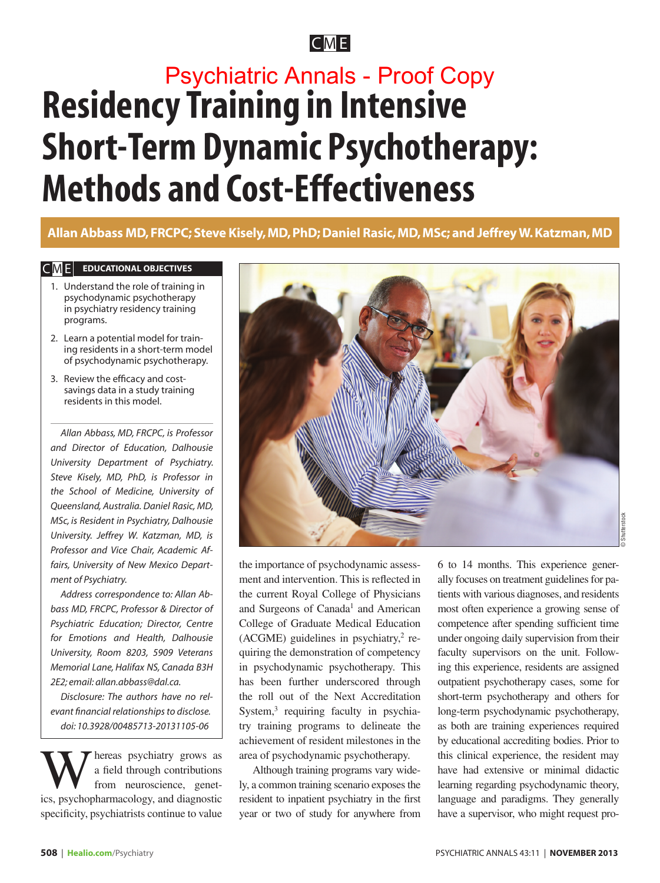CM E

# **Residency Training in Intensive Short-Term Dynamic Psychotherapy: Methods and Cost-Effectiveness** Psychiatric Annals - Proof Copy

### **Allan Abbass MD, FRCPC; Steve Kisely, MD, PhD; Daniel Rasic, MD, MSc; and Jeffrey W. Katzman, MD**

#### $CME$  **EDUCATIONAL OBJECTIVES**

- 1. Understand the role of training in psychodynamic psychotherapy in psychiatry residency training programs.
- 2. Learn a potential model for training residents in a short-term model of psychodynamic psychotherapy.
- 3. Review the efficacy and costsavings data in a study training residents in this model.

*Allan Abbass, MD, FRCPC, is Professor and Director of Education, Dalhousie University Department of Psychiatry. Steve Kisely, MD, PhD, is Professor in the School of Medicine, University of Queensland, Australia. Daniel Rasic, MD, MSc, is Resident in Psychiatry, Dalhousie University. Jeffrey W. Katzman, MD, is Professor and Vice Chair, Academic Affairs, University of New Mexico Department of Psychiatry.*

*Address correspondence to: Allan Abbass MD, FRCPC, Professor & Director of Psychiatric Education; Director, Centre for Emotions and Health, Dalhousie University, Room 8203, 5909 Veterans Memorial Lane, Halifax NS, Canada B3H 2E2; email: allan.abbass@dal.ca.*

*Disclosure: The authors have no relevant financial relationships to disclose. doi: 10.3928/00485713-20131105-06*

hereas psychiatry grows as a field through contributions from neuroscience, genetics, psychopharmacology, and diagnostic specificity, psychiatrists continue to value



the importance of psychodynamic assessment and intervention. This is reflected in the current Royal College of Physicians and Surgeons of Canada<sup>1</sup> and American College of Graduate Medical Education  $(ACGME)$  guidelines in psychiatry,<sup>2</sup> requiring the demonstration of competency in psychodynamic psychotherapy. This has been further underscored through the roll out of the Next Accreditation System,<sup>3</sup> requiring faculty in psychiatry training programs to delineate the achievement of resident milestones in the area of psychodynamic psychotherapy.

Although training programs vary widely, a common training scenario exposes the resident to inpatient psychiatry in the first year or two of study for anywhere from 6 to 14 months. This experience generally focuses on treatment guidelines for patients with various diagnoses, and residents most often experience a growing sense of competence after spending sufficient time under ongoing daily supervision from their faculty supervisors on the unit. Following this experience, residents are assigned outpatient psychotherapy cases, some for short-term psychotherapy and others for long-term psychodynamic psychotherapy, as both are training experiences required by educational accrediting bodies. Prior to this clinical experience, the resident may have had extensive or minimal didactic learning regarding psychodynamic theory, language and paradigms. They generally have a supervisor, who might request pro-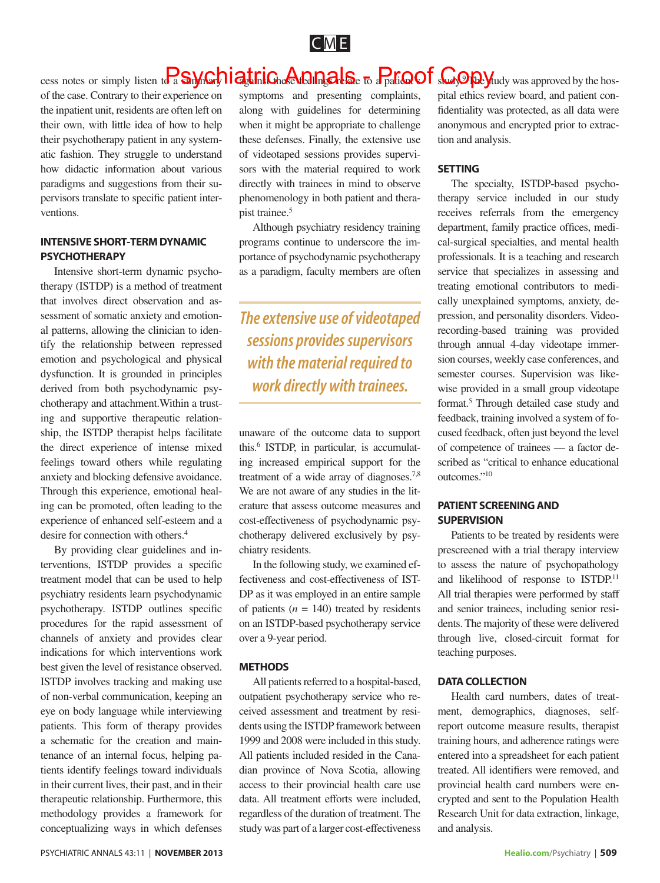

### cess notes or simply listen to a **S.M.G.** *n***ight inforce the impact S.** To a patim of supplying was approved by the hos-

of the case. Contrary to their experience on the inpatient unit, residents are often left on their own, with little idea of how to help their psychotherapy patient in any systematic fashion. They struggle to understand how didactic information about various paradigms and suggestions from their supervisors translate to specific patient interventions.

#### **INTENSIVE SHORT-TERM DYNAMIC PSYCHOTHERAPY**

Intensive short-term dynamic psychotherapy (ISTDP) is a method of treatment that involves direct observation and assessment of somatic anxiety and emotional patterns, allowing the clinician to identify the relationship between repressed emotion and psychological and physical dysfunction. It is grounded in principles derived from both psychodynamic psychotherapy and attachment.Within a trusting and supportive therapeutic relationship, the ISTDP therapist helps facilitate the direct experience of intense mixed feelings toward others while regulating anxiety and blocking defensive avoidance. Through this experience, emotional healing can be promoted, often leading to the experience of enhanced self-esteem and a desire for connection with others.<sup>4</sup>

By providing clear guidelines and interventions, ISTDP provides a specific treatment model that can be used to help psychiatry residents learn psychodynamic psychotherapy. ISTDP outlines specific procedures for the rapid assessment of channels of anxiety and provides clear indications for which interventions work best given the level of resistance observed. ISTDP involves tracking and making use of non-verbal communication, keeping an eye on body language while interviewing patients. This form of therapy provides a schematic for the creation and maintenance of an internal focus, helping patients identify feelings toward individuals in their current lives, their past, and in their therapeutic relationship. Furthermore, this methodology provides a framework for conceptualizing ways in which defenses

symptoms and presenting complaints, along with guidelines for determining when it might be appropriate to challenge these defenses. Finally, the extensive use of videotaped sessions provides supervisors with the material required to work directly with trainees in mind to observe phenomenology in both patient and therapist trainee.<sup>5</sup>

Although psychiatry residency training programs continue to underscore the importance of psychodynamic psychotherapy as a paradigm, faculty members are often

*The extensive use of videotaped sessions provides supervisors with the material required to work directly with trainees.* 

unaware of the outcome data to support this.6 ISTDP, in particular, is accumulating increased empirical support for the treatment of a wide array of diagnoses.<sup>7,8</sup> We are not aware of any studies in the literature that assess outcome measures and cost-effectiveness of psychodynamic psychotherapy delivered exclusively by psychiatry residents.

In the following study, we examined effectiveness and cost-effectiveness of IST-DP as it was employed in an entire sample of patients  $(n = 140)$  treated by residents on an ISTDP-based psychotherapy service over a 9-year period.

#### **METHODS**

All patients referred to a hospital-based, outpatient psychotherapy service who received assessment and treatment by residents using the ISTDP framework between 1999 and 2008 were included in this study. All patients included resided in the Canadian province of Nova Scotia, allowing access to their provincial health care use data. All treatment efforts were included, regardless of the duration of treatment. The study was part of a larger cost-effectiveness pital ethics review board, and patient confidentiality was protected, as all data were anonymous and encrypted prior to extraction and analysis.

#### **SETTING**

The specialty, ISTDP-based psychotherapy service included in our study receives referrals from the emergency department, family practice offices, medical-surgical specialties, and mental health professionals. It is a teaching and research service that specializes in assessing and treating emotional contributors to medically unexplained symptoms, anxiety, depression, and personality disorders. Videorecording-based training was provided through annual 4-day videotape immersion courses, weekly case conferences, and semester courses. Supervision was likewise provided in a small group videotape format.<sup>5</sup> Through detailed case study and feedback, training involved a system of focused feedback, often just beyond the level of competence of trainees — a factor described as "critical to enhance educational outcomes."10

#### **PATIENT SCREENING AND SUPERVISION**

Patients to be treated by residents were prescreened with a trial therapy interview to assess the nature of psychopathology and likelihood of response to ISTDP.<sup>11</sup> All trial therapies were performed by staff and senior trainees, including senior residents. The majority of these were delivered through live, closed-circuit format for teaching purposes.

#### **DATA COLLECTION**

Health card numbers, dates of treatment, demographics, diagnoses, selfreport outcome measure results, therapist training hours, and adherence ratings were entered into a spreadsheet for each patient treated. All identifiers were removed, and provincial health card numbers were encrypted and sent to the Population Health Research Unit for data extraction, linkage, and analysis.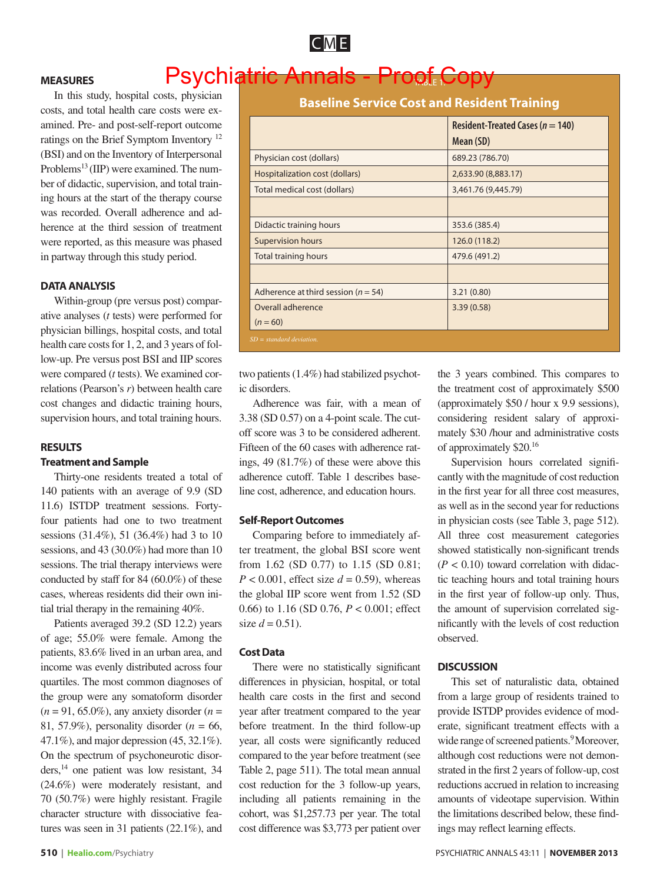

#### **MEASURES**

## Psychiatric Annals - Proof Copy

In this study, hospital costs, physician costs, and total health care costs were examined. Pre- and post-self-report outcome ratings on the Brief Symptom Inventory 12 (BSI) and on the Inventory of Interpersonal Problems<sup>13</sup> (IIP) were examined. The number of didactic, supervision, and total training hours at the start of the therapy course was recorded. Overall adherence and adherence at the third session of treatment were reported, as this measure was phased in partway through this study period.

#### **DATA ANALYSIS**

Within-group (pre versus post) comparative analyses (*t* tests) were performed for physician billings, hospital costs, and total health care costs for 1, 2, and 3 years of follow-up. Pre versus post BSI and IIP scores were compared (*t* tests). We examined correlations (Pearson's *r*) between health care cost changes and didactic training hours, supervision hours, and total training hours.

#### **RESULTS**

#### **Treatment and Sample**

Thirty-one residents treated a total of 140 patients with an average of 9.9 (SD 11.6) ISTDP treatment sessions. Fortyfour patients had one to two treatment sessions (31.4%), 51 (36.4%) had 3 to 10 sessions, and 43 (30.0%) had more than 10 sessions. The trial therapy interviews were conducted by staff for 84 (60.0%) of these cases, whereas residents did their own initial trial therapy in the remaining 40%.

Patients averaged 39.2 (SD 12.2) years of age; 55.0% were female. Among the patients, 83.6% lived in an urban area, and income was evenly distributed across four quartiles. The most common diagnoses of the group were any somatoform disorder (*n* = 91, 65.0%), any anxiety disorder (*n* = 81, 57.9%), personality disorder (*n* = 66, 47.1%), and major depression (45, 32.1%). On the spectrum of psychoneurotic disorders,14 one patient was low resistant, 34 (24.6%) were moderately resistant, and 70 (50.7%) were highly resistant. Fragile character structure with dissociative features was seen in 31 patients (22.1%), and

|                                         | <b>Resident-Treated Cases (<math>n = 140</math>)</b><br>Mean (SD) |  |  |
|-----------------------------------------|-------------------------------------------------------------------|--|--|
| Physician cost (dollars)                | 689.23 (786.70)                                                   |  |  |
| Hospitalization cost (dollars)          | 2,633.90 (8,883.17)                                               |  |  |
| Total medical cost (dollars)            | 3,461.76 (9,445.79)                                               |  |  |
|                                         |                                                                   |  |  |
| Didactic training hours                 | 353.6 (385.4)                                                     |  |  |
| <b>Supervision hours</b>                | 126.0 (118.2)                                                     |  |  |
| <b>Total training hours</b>             | 479.6 (491.2)                                                     |  |  |
|                                         |                                                                   |  |  |
| Adherence at third session ( $n = 54$ ) | 3.21(0.80)                                                        |  |  |
| Overall adherence                       | 3.39(0.58)                                                        |  |  |
| $(n = 60)$                              |                                                                   |  |  |
| $SD = standard deviation$ .             |                                                                   |  |  |

two patients (1.4%) had stabilized psychotic disorders.

Adherence was fair, with a mean of 3.38 (SD 0.57) on a 4-point scale. The cutoff score was 3 to be considered adherent. Fifteen of the 60 cases with adherence ratings, 49 (81.7%) of these were above this adherence cutoff. Table 1 describes baseline cost, adherence, and education hours.

#### **Self-Report Outcomes**

Comparing before to immediately after treatment, the global BSI score went from 1.62 (SD 0.77) to 1.15 (SD 0.81;  $P < 0.001$ , effect size  $d = 0.59$ ), whereas the global IIP score went from 1.52 (SD 0.66) to 1.16 (SD 0.76, *P* < 0.001; effect size  $d = 0.51$ ).

#### **Cost Data**

There were no statistically significant differences in physician, hospital, or total health care costs in the first and second year after treatment compared to the year before treatment. In the third follow-up year, all costs were significantly reduced compared to the year before treatment (see Table 2, page 511). The total mean annual cost reduction for the 3 follow-up years, including all patients remaining in the cohort, was \$1,257.73 per year. The total cost difference was \$3,773 per patient over the 3 years combined. This compares to the treatment cost of approximately \$500 (approximately \$50 / hour x 9.9 sessions), considering resident salary of approximately \$30 /hour and administrative costs of approximately \$20.16

Supervision hours correlated significantly with the magnitude of cost reduction in the first year for all three cost measures, as well as in the second year for reductions in physician costs (see Table 3, page 512). All three cost measurement categories showed statistically non-significant trends  $(P < 0.10)$  toward correlation with didactic teaching hours and total training hours in the first year of follow-up only. Thus, the amount of supervision correlated significantly with the levels of cost reduction observed.

#### **DISCUSSION**

This set of naturalistic data, obtained from a large group of residents trained to provide ISTDP provides evidence of moderate, significant treatment effects with a wide range of screened patients.<sup>9</sup> Moreover, although cost reductions were not demonstrated in the first 2 years of follow-up, cost reductions accrued in relation to increasing amounts of videotape supervision. Within the limitations described below, these findings may reflect learning effects.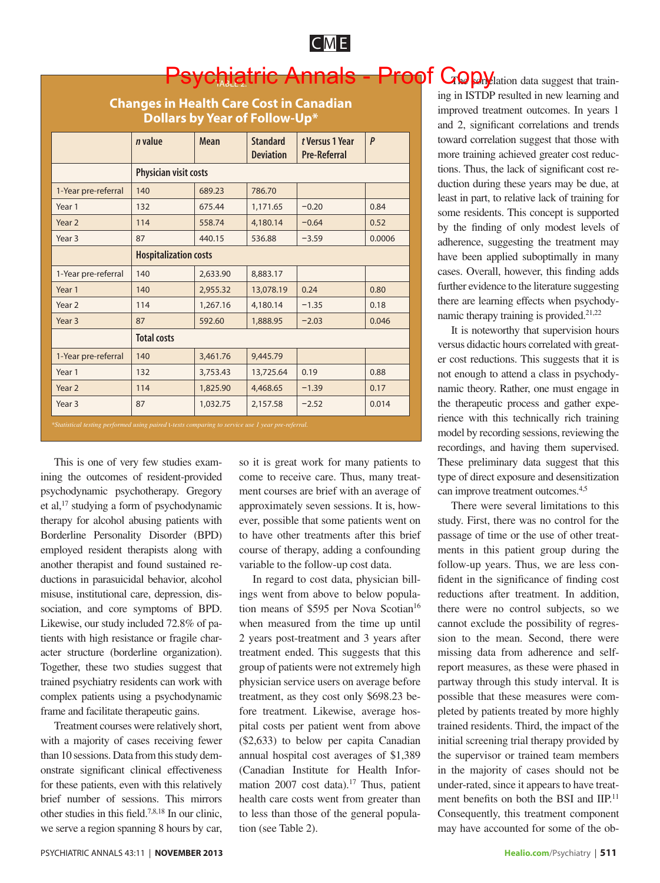acter structure (borderline organization). Together, these two studies suggest that trained psychiatry residents can work with complex patients using a psychodynamic frame and facilitate therapeutic gains.

with a majority of cases receiving fewer than 10 sessions. Data from this study demonstrate significant clinical effectiveness for these patients, even with this relatively brief number of sessions. This mirrors other studies in this field.7,8,18 In our clinic, we serve a region spanning 8 hours by car,

it is great work for many patients to me to receive care. Thus, many treatment courses are brief with an average of proximately seven sessions. It is, hower, possible that some patients went on have other treatments after this brief urse of therapy, adding a confounding riable to the follow-up cost data.

In regard to cost data, physician billings went from above to below populan means of \$595 per Nova Scotian<sup>16</sup> when measured from the time up until 2 years post-treatment and 3 years after treatment ended. This suggests that this group of patients were not extremely high physician service users on average before treatment, as they cost only \$698.23 before treatment. Likewise, average hospital costs per patient went from above (\$2,633) to below per capita Canadian annual hospital cost averages of \$1,389 (Canadian Institute for Health Information 2007 cost data).<sup>17</sup> Thus, patient health care costs went from greater than to less than those of the general population (see Table 2).

ing in ISTDP resulted in new learning and improved treatment outcomes. In years 1 and 2, significant correlations and trends toward correlation suggest that those with more training achieved greater cost reductions. Thus, the lack of significant cost reduction during these years may be due, at least in part, to relative lack of training for some residents. This concept is supported by the finding of only modest levels of adherence, suggesting the treatment may have been applied suboptimally in many cases. Overall, however, this finding adds further evidence to the literature suggesting there are learning effects when psychodynamic therapy training is provided. $21,22$ 

It is noteworthy that supervision hours versus didactic hours correlated with greater cost reductions. This suggests that it is not enough to attend a class in psychodynamic theory. Rather, one must engage in the therapeutic process and gather experience with this technically rich training model by recording sessions, reviewing the recordings, and having them supervised. These preliminary data suggest that this type of direct exposure and desensitization can improve treatment outcomes.4,5

There were several limitations to this study. First, there was no control for the passage of time or the use of other treatments in this patient group during the follow-up years. Thus, we are less confident in the significance of finding cost reductions after treatment. In addition, there were no control subjects, so we cannot exclude the possibility of regression to the mean. Second, there were missing data from adherence and selfreport measures, as these were phased in partway through this study interval. It is possible that these measures were completed by patients treated by more highly trained residents. Third, the impact of the initial screening trial therapy provided by the supervisor or trained team members in the majority of cases should not be under-rated, since it appears to have treatment benefits on both the BSI and IIP.<sup>11</sup> Consequently, this treatment component may have accounted for some of the ob-

# Psychiatric Annals - Proof Gopylation data suggest that train-

**Changes in Health Care Cost in Canadian Dollars by Year of Follow-Up\***

|                                                                                                   | n value                      | <b>Mean</b> | <b>Standard</b><br><b>Deviation</b> | t Versus 1 Year<br><b>Pre-Referral</b> | $\mathsf{P}$ |
|---------------------------------------------------------------------------------------------------|------------------------------|-------------|-------------------------------------|----------------------------------------|--------------|
|                                                                                                   | Physician visit costs        |             |                                     |                                        |              |
| 1-Year pre-referral                                                                               | 140                          | 689.23      | 786.70                              |                                        |              |
| Year 1                                                                                            | 132                          | 675.44      | 1,171.65                            | $-0.20$                                | 0.84         |
| Year <sub>2</sub>                                                                                 | 114                          | 558.74      | 4,180.14                            | $-0.64$                                | 0.52         |
| Year <sub>3</sub>                                                                                 | 87                           | 440.15      | 536.88                              | $-3.59$                                | 0.0006       |
|                                                                                                   | <b>Hospitalization costs</b> |             |                                     |                                        |              |
| 1-Year pre-referral                                                                               | 140                          | 2,633.90    | 8,883.17                            |                                        |              |
| Year 1                                                                                            | 140                          | 2,955.32    | 13,078.19                           | 0.24                                   | 0.80         |
| Year 2                                                                                            | 114                          | 1,267.16    | 4,180.14                            | $-1.35$                                | 0.18         |
| Year <sub>3</sub>                                                                                 | 87                           | 592.60      | 1,888.95                            | $-2.03$                                | 0.046        |
|                                                                                                   | <b>Total costs</b>           |             |                                     |                                        |              |
| 1-Year pre-referral                                                                               | 140                          | 3,461.76    | 9,445.79                            |                                        |              |
| Year 1                                                                                            | 132                          | 3,753.43    | 13,725.64                           | 0.19                                   | 0.88         |
| Year 2                                                                                            | 114                          | 1,825.90    | 4,468.65                            | $-1.39$                                | 0.17         |
| Year <sub>3</sub>                                                                                 | 87                           | 1,032.75    | 2,157.58                            | $-2.52$                                | 0.014        |
| *Statistical testing performed using paired t-tests comparing to service use 1 year pre-referral. |                              |             |                                     |                                        |              |

| Year <sub>2</sub>                                                           | 114 | 1,825.90 |                 |  |
|-----------------------------------------------------------------------------|-----|----------|-----------------|--|
| Year <sub>3</sub>                                                           | 87  | 1,032.75 |                 |  |
| *Statistical testing performed using paired t-tests comparing to service us |     |          |                 |  |
| This is one of very few studies exam-                                       |     |          | SO <sub>2</sub> |  |
| ining the outcomes of resident-provided                                     |     |          | CO <sub>1</sub> |  |
| psychodynamic psychotherapy. Gregory                                        |     |          | me              |  |
| et al, $17$ studying a form of psychodynamic                                |     |          | ap              |  |
| therapy for alcohol abusing patients with                                   |     |          | ev <sub>6</sub> |  |
| Borderline Personality Disorder (BPD)                                       |     |          | to              |  |
| employed resident therapists along with                                     |     |          | <b>CO</b>       |  |
| another therapist and found sustained re-                                   |     |          | var             |  |
| ductions in parasuicidal behavior, alcohol                                  |     |          |                 |  |
| misuse, institutional care, depression, dis-                                |     |          | ing             |  |
| sociation, and core symptoms of BPD.                                        |     |          | tio:            |  |
| Likewise, our study included 72.8% of pa-                                   |     |          | wh              |  |
| tients with high resistance or fragile char-                                |     |          | 2 <sub>1</sub>  |  |

CM E